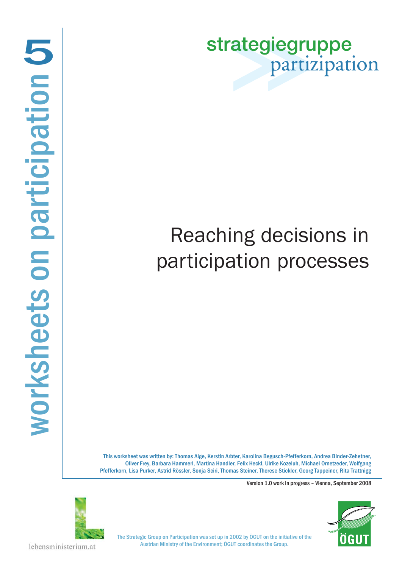strategiegruppe partizipation

# Reaching decisions in participation processes

This worksheet was written by: Thomas Alge, Kerstin Arbter, Karolina Begusch-Pfefferkorn, Andrea Binder-Zehetner, Oliver Frey, Barbara Hammerl, Martina Handler, Felix Heckl, Ulrike Kozeluh, Michael Ornetzeder, Wolfgang Pfefferkorn, Lisa Purker, Astrid Rössler, Sonja Sciri, Thomas Steiner, Therese Stickler, Georg Tappeiner, Rita Trattnigg

Version 1.0 work in progress – Vienna, September 2008





The Strategic Group on Participation was set up in 2002 by ÖGUT on the initiative of the Austrian Ministry of the Environment; ÖGUT coordinates the Group.

lebensministerium.at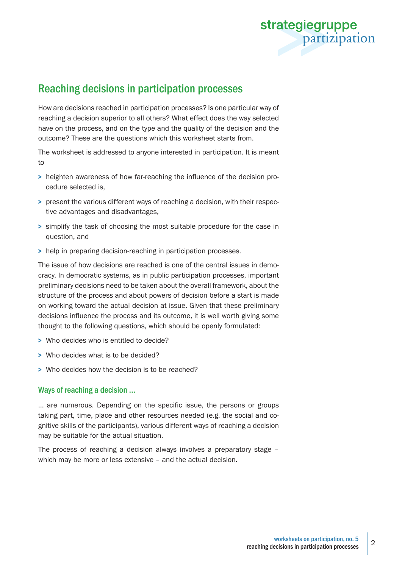

# Reaching decisions in participation processes

How are decisions reached in participation processes? Is one particular way of reaching a decision superior to all others? What effect does the way selected have on the process, and on the type and the quality of the decision and the outcome? These are the questions which this worksheet starts from.

The worksheet is addressed to anyone interested in participation. It is meant to

- > heighten awareness of how far-reaching the influence of the decision procedure selected is,
- > present the various different ways of reaching a decision, with their respective advantages and disadvantages,
- > simplify the task of choosing the most suitable procedure for the case in question, and
- > help in preparing decision-reaching in participation processes.

The issue of how decisions are reached is one of the central issues in democracy. In democratic systems, as in public participation processes, important preliminary decisions need to be taken about the overall framework, about the structure of the process and about powers of decision before a start is made on working toward the actual decision at issue. Given that these preliminary decisions influence the process and its outcome, it is well worth giving some thought to the following questions, which should be openly formulated:

- > Who decides who is entitled to decide?
- > Who decides what is to be decided?
- > Who decides how the decision is to be reached?

## Ways of reaching a decision ...

... are numerous. Depending on the specific issue, the persons or groups taking part, time, place and other resources needed (e.g. the social and cognitive skills of the participants), various different ways of reaching a decision may be suitable for the actual situation.

The process of reaching a decision always involves a preparatory stage – which may be more or less extensive – and the actual decision.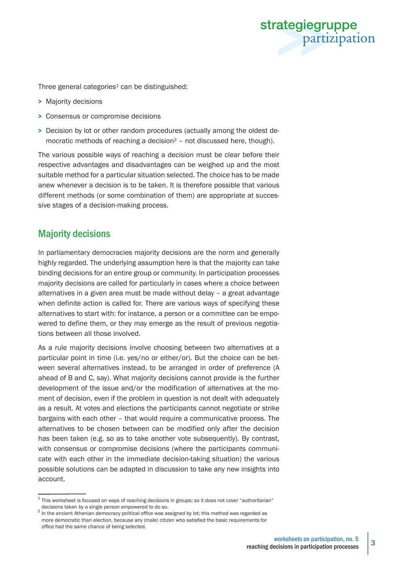

Three general categories<sup>1</sup> can be distinguished:

- > Majority decisions
- > Consensus or compromise decisions
- > Decision by lot or other random procedures (actually among the oldest democratic methods of reaching a decision<sup>2</sup> - not discussed here, though).

The various possible ways of reaching a decision must be clear before their respective advantages and disadvantages can be weighed up and the most suitable method for a particular situation selected. The choice has to be made anew whenever a decision is to be taken. It is therefore possible that various different methods (or some combination of them) are appropriate at successive stages of a decision-making process.

# Majority decisions

In parliamentary democracies majority decisions are the norm and generally highly regarded. The underlying assumption here is that the majority can take binding decisions for an entire group or community. In participation processes majority decisions are called for particularly in cases where a choice between alternatives in a given area must be made without delay – a great advantage when definite action is called for. There are various ways of specifying these alternatives to start with: for instance, a person or a committee can be empowered to define them, or they may emerge as the result of previous negotiations between all those involved.

As a rule majority decisions involve choosing between two alternatives at a particular point in time (i.e. yes/no or either/or). But the choice can be between several alternatives instead, to be arranged in order of preference (A ahead of B and C, say). What majority decisions cannot provide is the further development of the issue and/or the modification of alternatives at the moment of decision, even if the problem in question is not dealt with adequately as a result. At votes and elections the participants cannot negotiate or strike bargains with each other – that would require a communicative process. The alternatives to be chosen between can be modified only after the decision has been taken (e.g. so as to take another vote subsequently). By contrast, with consensus or compromise decisions (where the participants communicate with each other in the immediate decision-taking situation) the various possible solutions can be adapted in discussion to take any new insights into account.

 $1$  This worksheet is focused on ways of reaching decisions in groups; so it does not cover "authoritarian"

decisions taken by a single person empowered to do so.<br><sup>2</sup> In the ancient Athenian democracy political office was assigned by lot; this method was regarded as more democratic than election, because any (male) citizen who satisfied the basic requirements for office had the same chance of being selected.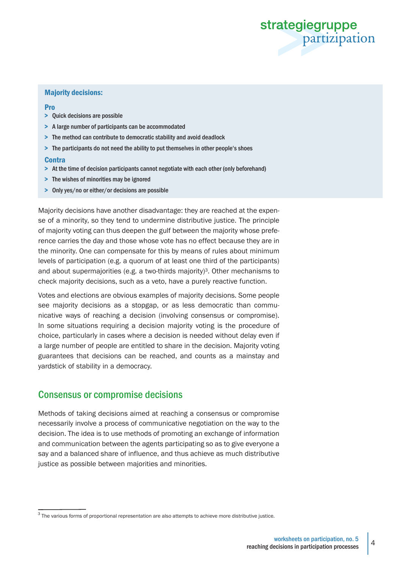

#### Majority decisions:

#### **Pro**

- > Quick decisions are possible
- > A large number of participants can be accommodated
- > The method can contribute to democratic stability and avoid deadlock
- > The participants do not need the ability to put themselves in other people's shoes

#### **Contra**

- > At the time of decision participants cannot negotiate with each other (only beforehand)
- > The wishes of minorities may be ignored
- > Only yes/no or either/or decisions are possible

Majority decisions have another disadvantage: they are reached at the expense of a minority, so they tend to undermine distributive justice. The principle of majority voting can thus deepen the gulf between the majority whose preference carries the day and those whose vote has no effect because they are in the minority. One can compensate for this by means of rules about minimum levels of participation (e.g. a quorum of at least one third of the participants) and about supermajorities (e.g. a two-thirds majority)<sup>3</sup>. Other mechanisms to check majority decisions, such as a veto, have a purely reactive function.

Votes and elections are obvious examples of majority decisions. Some people see majority decisions as a stopgap, or as less democratic than communicative ways of reaching a decision (involving consensus or compromise). In some situations requiring a decision majority voting is the procedure of choice, particularly in cases where a decision is needed without delay even if a large number of people are entitled to share in the decision. Majority voting guarantees that decisions can be reached, and counts as a mainstay and yardstick of stability in a democracy.

# Consensus or compromise decisions

Methods of taking decisions aimed at reaching a consensus or compromise necessarily involve a process of communicative negotiation on the way to the decision. The idea is to use methods of promoting an exchange of information and communication between the agents participating so as to give everyone a say and a balanced share of influence, and thus achieve as much distributive justice as possible between majorities and minorities.

 $3$  The various forms of proportional representation are also attempts to achieve more distributive justice.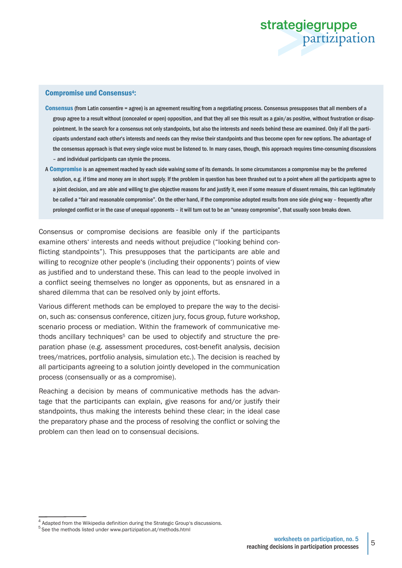

#### Compromise und Consensus4:

- Consensus (from Latin consentire = agree) is an agreement resulting from a negotiating process. Consensus presupposes that all members of a group agree to a result without (concealed or open) opposition, and that they all see this result as a gain/as positive, without frustration or disappointment. In the search for a consensus not only standpoints, but also the interests and needs behind these are examined. Only if all the participants understand each other's interests and needs can they revise their standpoints and thus become open for new options. The advantage of the consensus approach is that every single voice must be listened to. In many cases, though, this approach requires time-consuming discussions – and individual participants can stymie the process.
- A Compromise is an agreement reached by each side waiving some of its demands. In some circumstances a compromise may be the preferred solution, e.g. if time and money are in short supply. If the problem in question has been thrashed out to a point where all the participants agree to a joint decision, and are able and willing to give objective reasons for and justify it, even if some measure of dissent remains, this can legitimately be called a "fair and reasonable compromise". On the other hand, if the compromise adopted results from one side giving way – frequently after prolonged conflict or in the case of unequal opponents – it will turn out to be an "uneasy compromise", that usually soon breaks down.

Consensus or compromise decisions are feasible only if the participants examine others' interests and needs without prejudice ("looking behind conflicting standpoints"). This presupposes that the participants are able and willing to recognize other people's (including their opponents') points of view as justified and to understand these. This can lead to the people involved in a conflict seeing themselves no longer as opponents, but as ensnared in a shared dilemma that can be resolved only by joint efforts.

Various different methods can be employed to prepare the way to the decision, such as: consensus conference, citizen jury, focus group, future workshop, scenario process or mediation. Within the framework of communicative methods ancillary techniques<sup>5</sup> can be used to objectify and structure the preparation phase (e.g. assessment procedures, cost-benefit analysis, decision trees/matrices, portfolio analysis, simulation etc.). The decision is reached by all participants agreeing to a solution jointly developed in the communication process (consensually or as a compromise).

Reaching a decision by means of communicative methods has the advantage that the participants can explain, give reasons for and/or justify their standpoints, thus making the interests behind these clear; in the ideal case the preparatory phase and the process of resolving the conflict or solving the problem can then lead on to consensual decisions.

<sup>&</sup>lt;sup>4</sup> Adapted from the Wikipedia definition during the Strategic Group's discussions.

<sup>5</sup> See the methods listed under www.partizipation.at/methods.html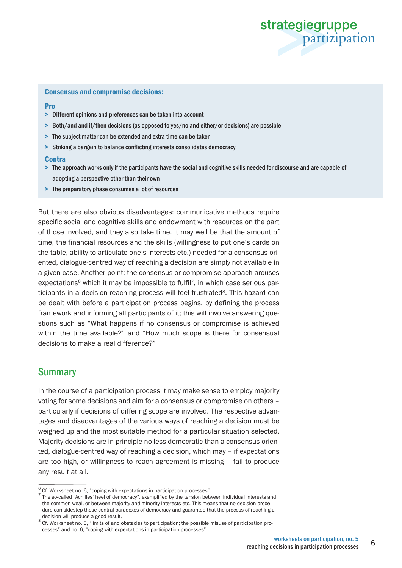

#### Consensus and compromise decisions:

#### Pro

- > Different opinions and preferences can be taken into account
- > Both/and and if/then decisions (as opposed to yes/no and either/or decisions) are possible
- > The subject matter can be extended and extra time can be taken
- > Striking a bargain to balance conflicting interests consolidates democracy

#### **Contra**

- > The approach works only if the participants have the social and cognitive skills needed for discourse and are capable of adopting a perspective other than their own
- > The preparatory phase consumes a lot of resources

But there are also obvious disadvantages: communicative methods require specific social and cognitive skills and endowment with resources on the part of those involved, and they also take time. It may well be that the amount of time, the financial resources and the skills (willingness to put one's cards on the table, ability to articulate one's interests etc.) needed for a consensus-oriented, dialogue-centred way of reaching a decision are simply not available in a given case. Another point: the consensus or compromise approach arouses expectations<sup>6</sup> which it may be impossible to fulfil<sup>7</sup>, in which case serious participants in a decision-reaching process will feel frustrated<sup>8</sup>. This hazard can be dealt with before a participation process begins, by defining the process framework and informing all participants of it; this will involve answering questions such as "What happens if no consensus or compromise is achieved within the time available?" and "How much scope is there for consensual decisions to make a real difference?"

## Summary

In the course of a participation process it may make sense to employ majority voting for some decisions and aim for a consensus or compromise on others – particularly if decisions of differing scope are involved. The respective advantages and disadvantages of the various ways of reaching a decision must be weighed up and the most suitable method for a particular situation selected. Majority decisions are in principle no less democratic than a consensus-oriented, dialogue-centred way of reaching a decision, which may – if expectations are too high, or willingness to reach agreement is missing – fail to produce any result at all.

 $6$  Cf. Worksheet no. 6, "coping with expectations in participation processes"

 $^7$  The so-called "Achilles' heel of democracy", exemplified by the tension between individual interests and the common weal, or between majority and minority interests etc. This means that no decision procedure can sidestep these central paradoxes of democracy and guarantee that the process of reaching a

decision will produce a good result.<br><sup>8</sup> Cf. Worksheet no. 3, "limits of and obstacles to participation; the possible misuse of participation processes" and no. 6, "coping with expectations in participation processes"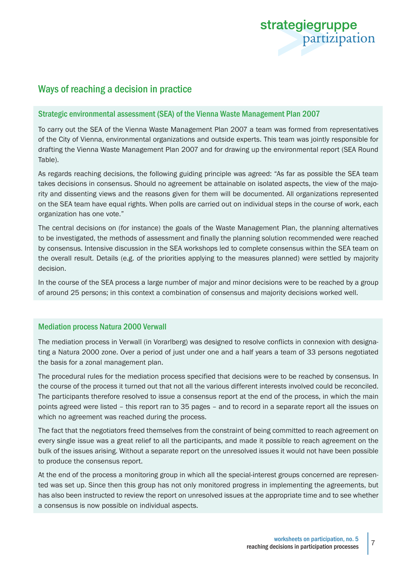

# Ways of reaching a decision in practice

## Strategic environmental assessment (SEA) of the Vienna Waste Management Plan 2007

To carry out the SEA of the Vienna Waste Management Plan 2007 a team was formed from representatives of the City of Vienna, environmental organizations and outside experts. This team was jointly responsible for drafting the Vienna Waste Management Plan 2007 and for drawing up the environmental report (SEA Round Table).

As regards reaching decisions, the following guiding principle was agreed: "As far as possible the SEA team takes decisions in consensus. Should no agreement be attainable on isolated aspects, the view of the majority and dissenting views and the reasons given for them will be documented. All organizations represented on the SEA team have equal rights. When polls are carried out on individual steps in the course of work, each organization has one vote."

The central decisions on (for instance) the goals of the Waste Management Plan, the planning alternatives to be investigated, the methods of assessment and finally the planning solution recommended were reached by consensus. Intensive discussion in the SEA workshops led to complete consensus within the SEA team on the overall result. Details (e.g. of the priorities applying to the measures planned) were settled by majority decision.

In the course of the SEA process a large number of major and minor decisions were to be reached by a group of around 25 persons; in this context a combination of consensus and majority decisions worked well.

### Mediation process Natura 2000 Verwall

The mediation process in Verwall (in Vorarlberg) was designed to resolve conflicts in connexion with designating a Natura 2000 zone. Over a period of just under one and a half years a team of 33 persons negotiated the basis for a zonal management plan.

The procedural rules for the mediation process specified that decisions were to be reached by consensus. In the course of the process it turned out that not all the various different interests involved could be reconciled. The participants therefore resolved to issue a consensus report at the end of the process, in which the main points agreed were listed – this report ran to 35 pages – and to record in a separate report all the issues on which no agreement was reached during the process.

The fact that the negotiators freed themselves from the constraint of being committed to reach agreement on every single issue was a great relief to all the participants, and made it possible to reach agreement on the bulk of the issues arising. Without a separate report on the unresolved issues it would not have been possible to produce the consensus report.

At the end of the process a monitoring group in which all the special-interest groups concerned are represented was set up. Since then this group has not only monitored progress in implementing the agreements, but has also been instructed to review the report on unresolved issues at the appropriate time and to see whether a consensus is now possible on individual aspects.